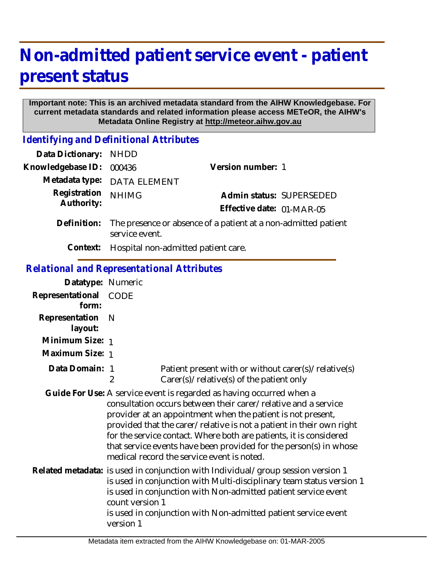## **Non-admitted patient service event - patient present status**

## **Important note: This is an archived metadata standard from the AIHW Knowledgebase. For current metadata standards and related information please access METeOR, the AIHW's Metadata Online Registry at http://meteor.aihw.gov.au**

*Identifying and Definitional Attributes*

| Data Dictionary: NHDD      |                                                                                              |                           |                          |
|----------------------------|----------------------------------------------------------------------------------------------|---------------------------|--------------------------|
| Knowledgebase ID: 000436   |                                                                                              | Version number: 1         |                          |
|                            | Metadata type: DATA ELEMENT                                                                  |                           |                          |
| Registration<br>Authority: | <b>NHIMG</b>                                                                                 | Effective date: 01-MAR-05 | Admin status: SUPERSEDED |
|                            | Definition: The presence or absence of a patient at a non-admitted patient<br>service event. |                           |                          |
|                            |                                                                                              |                           |                          |

**Context:** Hospital non-admitted patient care.

## *Relational and Representational Attributes*

| Datatype: Numeric         |                                                                                                                                                                                                                                                                                                                                                                                                                                                                        |                                                                                                  |  |
|---------------------------|------------------------------------------------------------------------------------------------------------------------------------------------------------------------------------------------------------------------------------------------------------------------------------------------------------------------------------------------------------------------------------------------------------------------------------------------------------------------|--------------------------------------------------------------------------------------------------|--|
| Representational<br>form: | <b>CODE</b>                                                                                                                                                                                                                                                                                                                                                                                                                                                            |                                                                                                  |  |
| Representation<br>layout: | N                                                                                                                                                                                                                                                                                                                                                                                                                                                                      |                                                                                                  |  |
| Minimum Size: 1           |                                                                                                                                                                                                                                                                                                                                                                                                                                                                        |                                                                                                  |  |
| Maximum Size: 1           |                                                                                                                                                                                                                                                                                                                                                                                                                                                                        |                                                                                                  |  |
| Data Domain: 1            | 2                                                                                                                                                                                                                                                                                                                                                                                                                                                                      | Patient present with or without carer(s)/relative(s)<br>Carer(s)/relative(s) of the patient only |  |
|                           | Guide For Use: A service event is regarded as having occurred when a<br>consultation occurs between their carer/relative and a service<br>provider at an appointment when the patient is not present,<br>provided that the carer/relative is not a patient in their own right<br>for the service contact. Where both are patients, it is considered<br>that service events have been provided for the person(s) in whose<br>medical record the service event is noted. |                                                                                                  |  |
|                           | Related metadata: is used in conjunction with Individual/group session version 1<br>is used in conjunction with Multi-disciplinary team status version 1<br>is used in conjunction with Non-admitted patient service event<br>count version 1<br>is used in conjunction with Non-admitted patient service event<br>version 1                                                                                                                                           |                                                                                                  |  |